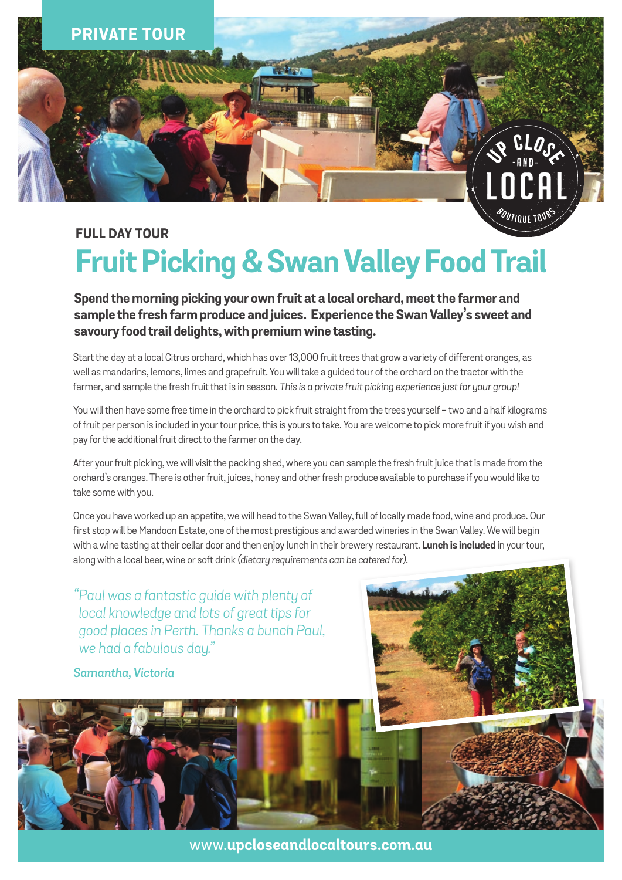

# **FULL DAY TOUR Fruit Picking & Swan Valley Food Trail**

**Spend the morning picking your own fruit at a local orchard, meet the farmer and sample the fresh farm produce and juices. Experience the Swan Valley's sweet and savoury food trail delights, with premium wine tasting.**

Start the day at a local Citrus orchard, which has over 13,000 fruit trees that grow a variety of different oranges, as well as mandarins, lemons, limes and grapefruit. You will take a guided tour of the orchard on the tractor with the farmer, and sample the fresh fruit that is in season. This is a private fruit picking experience just for your group!

You will then have some free time in the orchard to pick fruit straight from the trees yourself - two and a half kilograms of fruit per person is included in your tour price, this is yours to take. You are welcome to pick more fruit if you wish and pay for the additional fruit direct to the farmer on the day.

After your fruit picking, we will visit the packing shed, where you can sample the fresh fruit juice that is made from the orchard's oranges. There is other fruit, juices, honey and other fresh produce available to purchase if you would like to take some with you.

Once you have worked up an appetite, we will head to the Swan Valley, full of locally made food, wine and produce. Our first stop will be Mandoon Estate, one of the most prestigious and awarded wineries in the Swan Valley. We will begin with a wine tasting at their cellar door and then enjoy lunch in their brewery restaurant. **Lunch is included** in your tour, along with a local beer, wine or soft drink *(dietary requirements can be catered for)*.

*"Paul was a fantastic guide with plenty of local knowledge and lots of great tips for good places in Perth. Thanks a bunch Paul, we had a fabulous day."*

### *Samantha, Victoria*



www.**upcloseandlocaltours.com.au**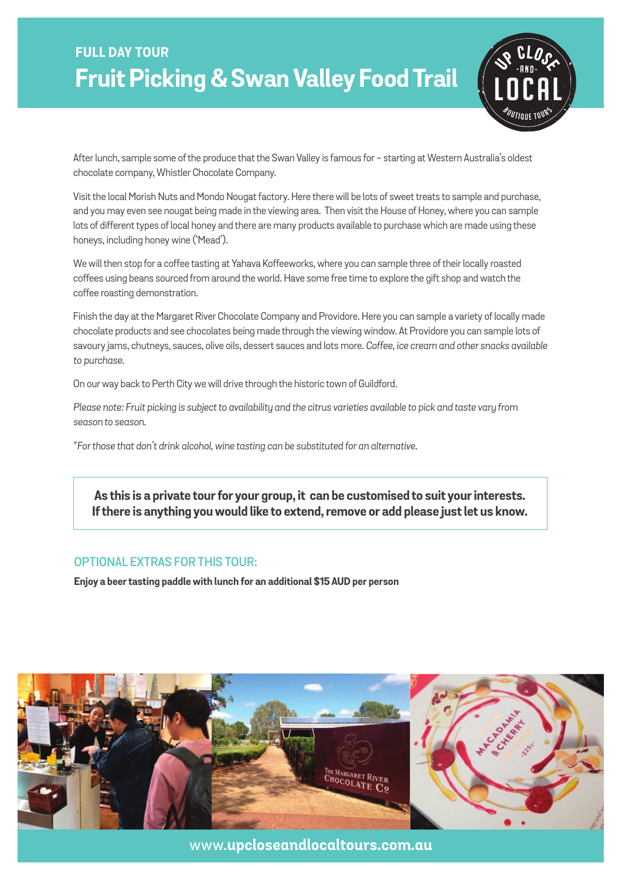

After lunch, sample some of the produce that the Swan Valley is famous for - starting at Western Australia's oldest chocolate company, Whistler Chocolate Company.

Visit the local Morish Nuts and Mondo Nougat factory. Here there will be lots of sweet treats to sample and purchase, and you may even see nougat being made in the viewing area. Then visit the House of Honey, where you can sample lots of different types of local honey and there are many products available to purchase which are made using these honeys, including honey wine ('Mead').

We will then stop for a coffee tasting at Yahava Koffeeworks, where you can sample three of their locally roasted coffees using beans sourced from around the world. Have some free time to explore the gift shop and watch the coffee roasting demonstration.

Finish the day at the Margaret River Chocolate Company and Providore. Here you can sample a variety of locally made chocolate products and see chocolates being made through the viewing window. At Providore you can sample lots of savoury jams, chutneys, sauces, olive oils, dessert sauces and lots more. *Coffee, ice cream and other snacks available to purchase.*

On our way back to Perth City we will drive through the historic town of Guildford.

*Please note: Fruit picking is subject to availability and the citrus varieties available to pick and taste vary from season to season.*

*\*For those that don't drink alcohol, wine tasting can be substituted for an alternative.*

## **As this is a private tour for your group, it can be customised to suit your interests. If there is anything you would like to extend, remove or add please just let us know.**

#### **optional extras for this tour:**

**Enjoy a beer tasting paddle with lunch for an additional \$15 AUD per person**



www.**upcloseandlocaltours.com.au**